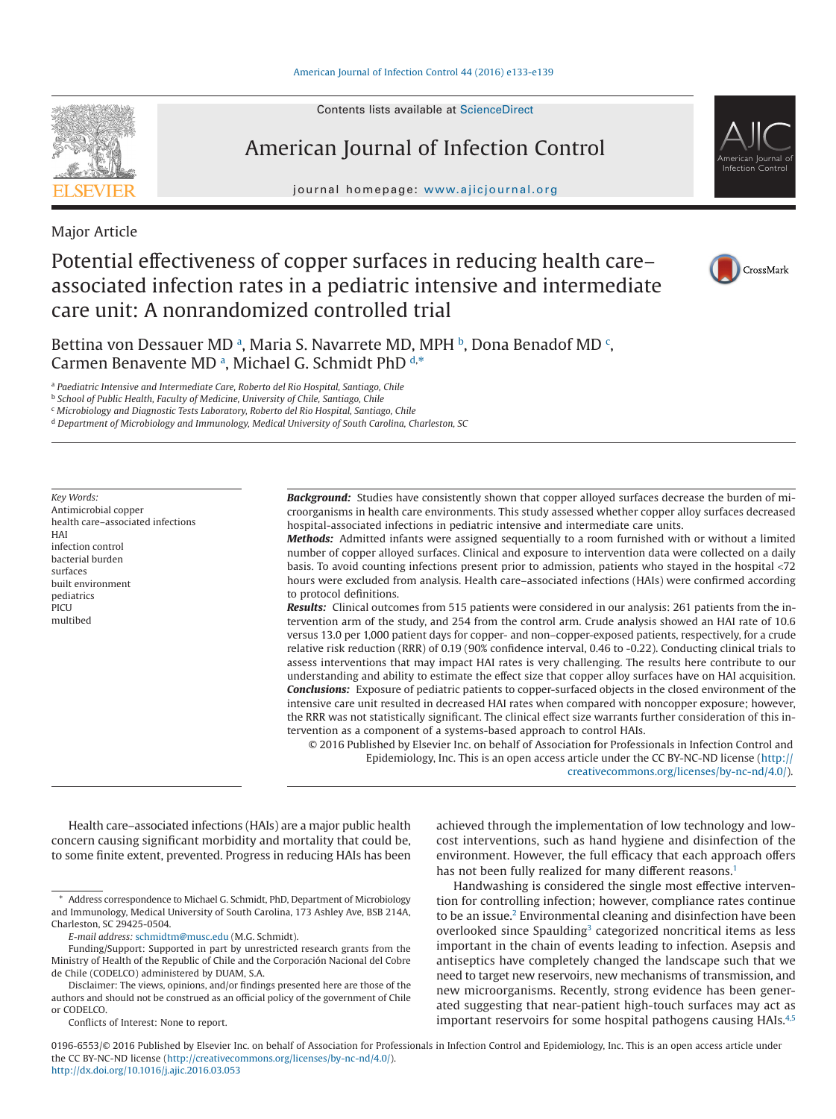

Contents lists available at [ScienceDirect](http://www.sciencedirect.com/science/journal/01966553)

# American Journal of Infection Control

journal homepage: [www.ajicjournal.org](http://www.ajicjournal.org)

Major Article

# Potential effectiveness of copper surfaces in reducing health care– associated infection rates in a pediatric intensive and intermediate care unit: A nonrandomized controlled trial



American Journal of



Bettin[a](#page-0-0) von Dessauer MD ª, Maria S. Navarrete MD, MPH ʰ, Dona Benadof MD <sup>[c](#page-0-2)</sup>, C[a](#page-0-0)rmen Benavente MD<sup>a</sup>, Michael G. Schmidt PhD<sup>[d,](#page-0-3)[\\*](#page-0-4)</sup>

<span id="page-0-0"></span><sup>a</sup> *Paediatric Intensive and Intermediate Care, Roberto del Rio Hospital, Santiago, Chile*

<span id="page-0-1"></span><sup>b</sup> *School of Public Health, Faculty of Medicine, University of Chile, Santiago, Chile*

<span id="page-0-2"></span><sup>c</sup> *Microbiology and Diagnostic Tests Laboratory, Roberto del Rio Hospital, Santiago, Chile*

<span id="page-0-3"></span><sup>d</sup> *Department of Microbiology and Immunology, Medical University of South Carolina, Charleston, SC*

*Key Words:* Antimicrobial copper health care–associated infections HAI infection control bacterial burden surfaces built environment pediatrics **PICU** multibed

*Background:* Studies have consistently shown that copper alloyed surfaces decrease the burden of microorganisms in health care environments. This study assessed whether copper alloy surfaces decreased hospital-associated infections in pediatric intensive and intermediate care units.

*Methods:* Admitted infants were assigned sequentially to a room furnished with or without a limited number of copper alloyed surfaces. Clinical and exposure to intervention data were collected on a daily basis. To avoid counting infections present prior to admission, patients who stayed in the hospital <72 hours were excluded from analysis. Health care–associated infections (HAIs) were confirmed according to protocol definitions.

*Results:* Clinical outcomes from 515 patients were considered in our analysis: 261 patients from the intervention arm of the study, and 254 from the control arm. Crude analysis showed an HAI rate of 10.6 versus 13.0 per 1,000 patient days for copper- and non–copper-exposed patients, respectively, for a crude relative risk reduction (RRR) of 0.19 (90% confidence interval, 0.46 to -0.22). Conducting clinical trials to assess interventions that may impact HAI rates is very challenging. The results here contribute to our understanding and ability to estimate the effect size that copper alloy surfaces have on HAI acquisition. *Conclusions:* Exposure of pediatric patients to copper-surfaced objects in the closed environment of the intensive care unit resulted in decreased HAI rates when compared with noncopper exposure; however, the RRR was not statistically significant. The clinical effect size warrants further consideration of this intervention as a component of a systems-based approach to control HAIs.

© 2016 Published by Elsevier Inc. on behalf of Association for Professionals in Infection Control and Epidemiology, Inc. This is an open access article under the CC BY-NC-ND license (http:// creativecommons.org/licenses/by-nc-nd/4.0/).

Health care–associated infections (HAIs) are a major public health concern causing significant morbidity and mortality that could be, to some finite extent, prevented. Progress in reducing HAIs has been achieved through the implementation of low technology and lowcost interventions, such as hand hygiene and disinfection of the environment. However, the full efficacy that each approach offers has not been fully realized for many different reasons.<sup>1</sup>

Handwashing is considered the single most effective intervention for controlling infection; however, compliance rates continue to be an issue.<sup>2</sup> Environmental cleaning and disinfection have been overlooked since Spaulding<sup>3</sup> categorized noncritical items as less important in the chain of events leading to infection. Asepsis and antiseptics have completely changed the landscape such that we need to target new reservoirs, new mechanisms of transmission, and new microorganisms. Recently, strong evidence has been generated suggesting that near-patient high-touch surfaces may act as important reservoirs for some hospital pathogens causing HAIs.<sup>4,5</sup>

0196-6553/© 2016 Published by Elsevier Inc. on behalf of Association for Professionals in Infection Control and Epidemiology, Inc. This is an open access article under the CC BY-NC-ND license (http://creativecommons.org/licenses/by-nc-nd/4.0/). <http://dx.doi.org/10.1016/j.ajic.2016.03.053>

<span id="page-0-4"></span><sup>\*</sup> Address correspondence to Michael G. Schmidt, PhD, Department of Microbiology and Immunology, Medical University of South Carolina, 173 Ashley Ave, BSB 214A, Charleston, SC 29425-0504.

*E-mail address:* [schmidtm@musc.edu](mailto:schmidtm@musc.edu) (M.G. Schmidt).

Funding/Support: Supported in part by unrestricted research grants from the Ministry of Health of the Republic of Chile and the Corporación Nacional del Cobre de Chile (CODELCO) administered by DUAM, S.A.

Disclaimer: The views, opinions, and/or findings presented here are those of the authors and should not be construed as an official policy of the government of Chile or CODELCO.

Conflicts of Interest: None to report.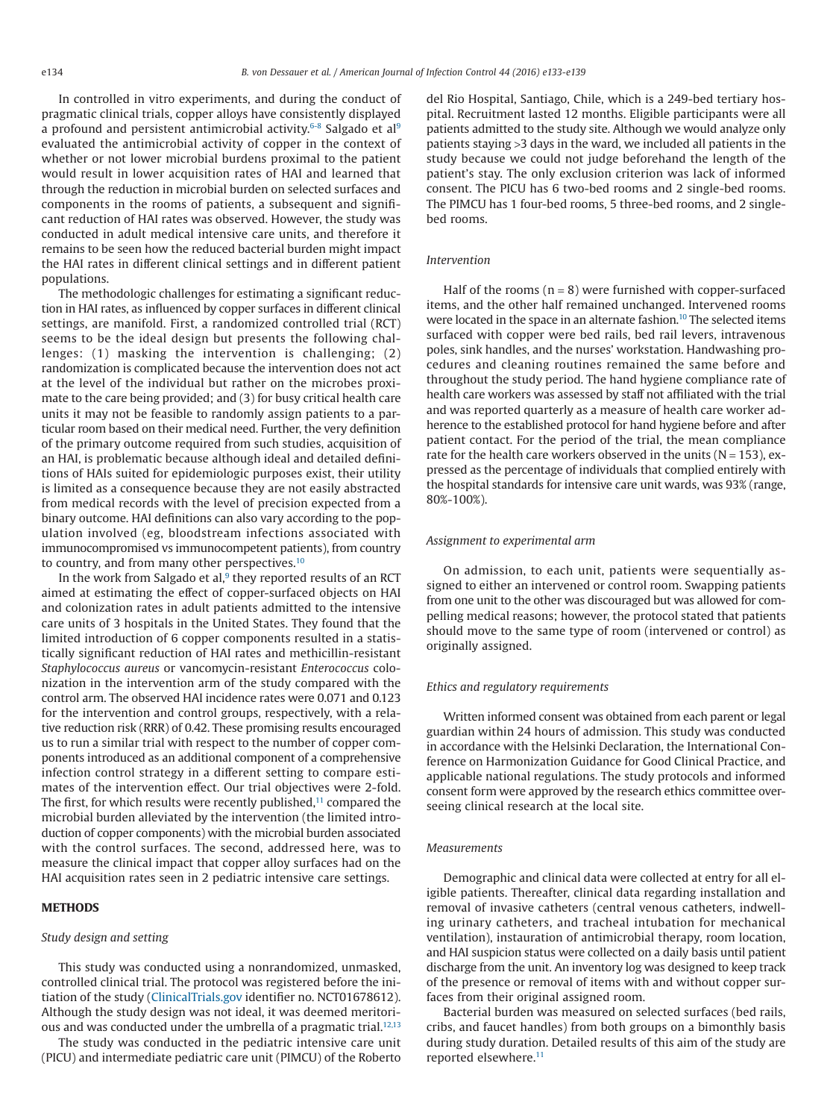In controlled in vitro experiments, and during the conduct of pragmatic clinical trials, copper alloys have consistently displayed a profound and persistent antimicrobial activity.<sup>6-8</sup> Salgado et al<sup>9</sup> evaluated the antimicrobial activity of copper in the context of whether or not lower microbial burdens proximal to the patient would result in lower acquisition rates of HAI and learned that through the reduction in microbial burden on selected surfaces and components in the rooms of patients, a subsequent and significant reduction of HAI rates was observed. However, the study was conducted in adult medical intensive care units, and therefore it remains to be seen how the reduced bacterial burden might impact the HAI rates in different clinical settings and in different patient populations.

The methodologic challenges for estimating a significant reduction in HAI rates, as influenced by copper surfaces in different clinical settings, are manifold. First, a randomized controlled trial (RCT) seems to be the ideal design but presents the following challenges: (1) masking the intervention is challenging; (2) randomization is complicated because the intervention does not act at the level of the individual but rather on the microbes proximate to the care being provided; and (3) for busy critical health care units it may not be feasible to randomly assign patients to a particular room based on their medical need. Further, the very definition of the primary outcome required from such studies, acquisition of an HAI, is problematic because although ideal and detailed definitions of HAIs suited for epidemiologic purposes exist, their utility is limited as a consequence because they are not easily abstracted from medical records with the level of precision expected from a binary outcome. HAI definitions can also vary according to the population involved (eg, bloodstream infections associated with immunocompromised vs immunocompetent patients), from country to country, and from many other perspectives[.10](#page-6-0)

In the work from Salgado et al, $9$  they reported results of an RCT aimed at estimating the effect of copper-surfaced objects on HAI and colonization rates in adult patients admitted to the intensive care units of 3 hospitals in the United States. They found that the limited introduction of 6 copper components resulted in a statistically significant reduction of HAI rates and methicillin-resistant *Staphylococcus aureus* or vancomycin-resistant *Enterococcus* colonization in the intervention arm of the study compared with the control arm. The observed HAI incidence rates were 0.071 and 0.123 for the intervention and control groups, respectively, with a relative reduction risk (RRR) of 0.42. These promising results encouraged us to run a similar trial with respect to the number of copper components introduced as an additional component of a comprehensive infection control strategy in a different setting to compare estimates of the intervention effect. Our trial objectives were 2-fold. The first, for which results were recently published, $11$  compared the microbial burden alleviated by the intervention (the limited introduction of copper components) with the microbial burden associated with the control surfaces. The second, addressed here, was to measure the clinical impact that copper alloy surfaces had on the HAI acquisition rates seen in 2 pediatric intensive care settings.

# **METHODS**

#### *Study design and setting*

This study was conducted using a nonrandomized, unmasked, controlled clinical trial. The protocol was registered before the initiation of the study [\(ClinicalTrials.gov](http://ClinicalTrials.gov) identifier no. NCT01678612). Although the study design was not ideal, it was deemed meritorious and was conducted under the umbrella of a pragmatic trial.<sup>12,13</sup>

The study was conducted in the pediatric intensive care unit (PICU) and intermediate pediatric care unit (PIMCU) of the Roberto del Rio Hospital, Santiago, Chile, which is a 249-bed tertiary hospital. Recruitment lasted 12 months. Eligible participants were all patients admitted to the study site. Although we would analyze only patients staying >3 days in the ward, we included all patients in the study because we could not judge beforehand the length of the patient's stay. The only exclusion criterion was lack of informed consent. The PICU has 6 two-bed rooms and 2 single-bed rooms. The PIMCU has 1 four-bed rooms, 5 three-bed rooms, and 2 singlebed rooms.

#### *Intervention*

Half of the rooms ( $n = 8$ ) were furnished with copper-surfaced items, and the other half remained unchanged. Intervened rooms were located in the space in an alternate fashion.<sup>10</sup> The selected items surfaced with copper were bed rails, bed rail levers, intravenous poles, sink handles, and the nurses' workstation. Handwashing procedures and cleaning routines remained the same before and throughout the study period. The hand hygiene compliance rate of health care workers was assessed by staff not affiliated with the trial and was reported quarterly as a measure of health care worker adherence to the established protocol for hand hygiene before and after patient contact. For the period of the trial, the mean compliance rate for the health care workers observed in the units  $(N = 153)$ , expressed as the percentage of individuals that complied entirely with the hospital standards for intensive care unit wards, was 93% (range, 80%-100%).

#### *Assignment to experimental arm*

On admission, to each unit, patients were sequentially assigned to either an intervened or control room. Swapping patients from one unit to the other was discouraged but was allowed for compelling medical reasons; however, the protocol stated that patients should move to the same type of room (intervened or control) as originally assigned.

#### *Ethics and regulatory requirements*

Written informed consent was obtained from each parent or legal guardian within 24 hours of admission. This study was conducted in accordance with the Helsinki Declaration, the International Conference on Harmonization Guidance for Good Clinical Practice, and applicable national regulations. The study protocols and informed consent form were approved by the research ethics committee overseeing clinical research at the local site.

## *Measurements*

Demographic and clinical data were collected at entry for all eligible patients. Thereafter, clinical data regarding installation and removal of invasive catheters (central venous catheters, indwelling urinary catheters, and tracheal intubation for mechanical ventilation), instauration of antimicrobial therapy, room location, and HAI suspicion status were collected on a daily basis until patient discharge from the unit. An inventory log was designed to keep track of the presence or removal of items with and without copper surfaces from their original assigned room.

Bacterial burden was measured on selected surfaces (bed rails, cribs, and faucet handles) from both groups on a bimonthly basis during study duration. Detailed results of this aim of the study are reported elsewhere.<sup>11</sup>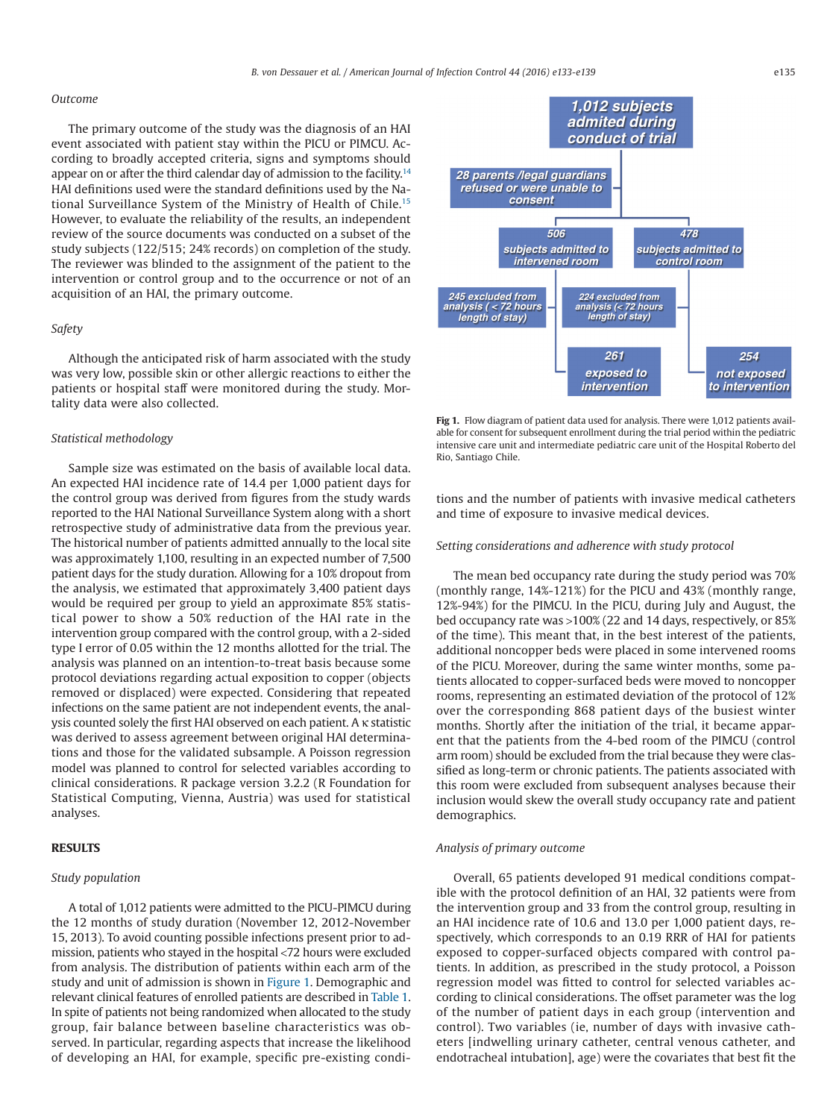## *Outcome*

The primary outcome of the study was the diagnosis of an HAI event associated with patient stay within the PICU or PIMCU. According to broadly accepted criteria, signs and symptoms should appear on or after the third calendar day of admission to the facility.<sup>14</sup> HAI definitions used were the standard definitions used by the National Surveillance System of the Ministry of Health of Chile[.15](#page-6-4) However, to evaluate the reliability of the results, an independent review of the source documents was conducted on a subset of the study subjects (122/515; 24% records) on completion of the study. The reviewer was blinded to the assignment of the patient to the intervention or control group and to the occurrence or not of an acquisition of an HAI, the primary outcome.

#### *Safety*

Although the anticipated risk of harm associated with the study was very low, possible skin or other allergic reactions to either the patients or hospital staff were monitored during the study. Mortality data were also collected.

#### *Statistical methodology*

Sample size was estimated on the basis of available local data. An expected HAI incidence rate of 14.4 per 1,000 patient days for the control group was derived from figures from the study wards reported to the HAI National Surveillance System along with a short retrospective study of administrative data from the previous year. The historical number of patients admitted annually to the local site was approximately 1,100, resulting in an expected number of 7,500 patient days for the study duration. Allowing for a 10% dropout from the analysis, we estimated that approximately 3,400 patient days would be required per group to yield an approximate 85% statistical power to show a 50% reduction of the HAI rate in the intervention group compared with the control group, with a 2-sided type I error of 0.05 within the 12 months allotted for the trial. The analysis was planned on an intention-to-treat basis because some protocol deviations regarding actual exposition to copper (objects removed or displaced) were expected. Considering that repeated infections on the same patient are not independent events, the analysis counted solely the first HAI observed on each patient. A κ statistic was derived to assess agreement between original HAI determinations and those for the validated subsample. A Poisson regression model was planned to control for selected variables according to clinical considerations. R package version 3.2.2 (R Foundation for Statistical Computing, Vienna, Austria) was used for statistical analyses.

# **RESULTS**

#### *Study population*

A total of 1,012 patients were admitted to the PICU-PIMCU during the 12 months of study duration (November 12, 2012-November 15, 2013). To avoid counting possible infections present prior to admission, patients who stayed in the hospital <72 hours were excluded from analysis. The distribution of patients within each arm of the study and unit of admission is shown in Figure 1. Demographic and relevant clinical features of enrolled patients are described in [Table 1.](#page-3-0) In spite of patients not being randomized when allocated to the study group, fair balance between baseline characteristics was observed. In particular, regarding aspects that increase the likelihood of developing an HAI, for example, specific pre-existing condi-



**Fig 1.** Flow diagram of patient data used for analysis. There were 1,012 patients available for consent for subsequent enrollment during the trial period within the pediatric intensive care unit and intermediate pediatric care unit of the Hospital Roberto del Rio, Santiago Chile.

tions and the number of patients with invasive medical catheters and time of exposure to invasive medical devices.

#### *Setting considerations and adherence with study protocol*

The mean bed occupancy rate during the study period was 70% (monthly range, 14%-121%) for the PICU and 43% (monthly range, 12%-94%) for the PIMCU. In the PICU, during July and August, the bed occupancy rate was >100% (22 and 14 days, respectively, or 85% of the time). This meant that, in the best interest of the patients, additional noncopper beds were placed in some intervened rooms of the PICU. Moreover, during the same winter months, some patients allocated to copper-surfaced beds were moved to noncopper rooms, representing an estimated deviation of the protocol of 12% over the corresponding 868 patient days of the busiest winter months. Shortly after the initiation of the trial, it became apparent that the patients from the 4-bed room of the PIMCU (control arm room) should be excluded from the trial because they were classified as long-term or chronic patients. The patients associated with this room were excluded from subsequent analyses because their inclusion would skew the overall study occupancy rate and patient demographics.

#### *Analysis of primary outcome*

Overall, 65 patients developed 91 medical conditions compatible with the protocol definition of an HAI, 32 patients were from the intervention group and 33 from the control group, resulting in an HAI incidence rate of 10.6 and 13.0 per 1,000 patient days, respectively, which corresponds to an 0.19 RRR of HAI for patients exposed to copper-surfaced objects compared with control patients. In addition, as prescribed in the study protocol, a Poisson regression model was fitted to control for selected variables according to clinical considerations. The offset parameter was the log of the number of patient days in each group (intervention and control). Two variables (ie, number of days with invasive catheters [indwelling urinary catheter, central venous catheter, and endotracheal intubation], age) were the covariates that best fit the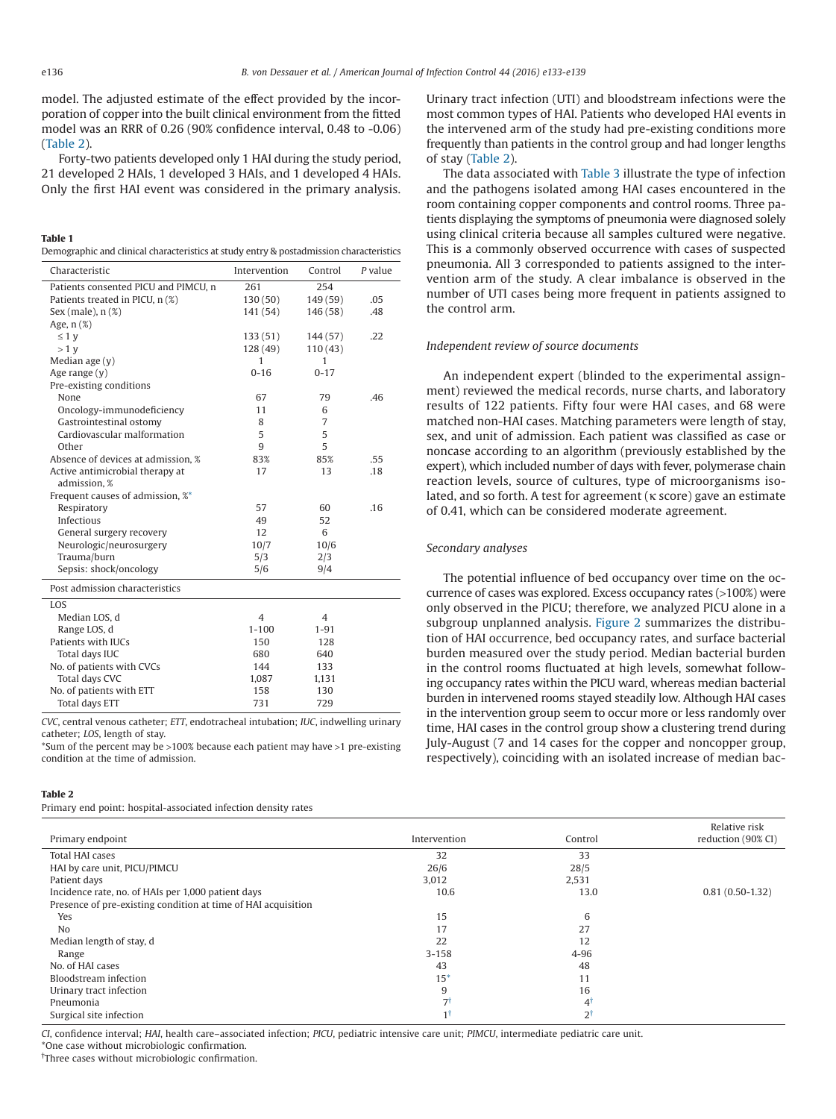<span id="page-3-0"></span>model. The adjusted estimate of the effect provided by the incorporation of copper into the built clinical environment from the fitted model was an RRR of 0.26 (90% confidence interval, 0.48 to -0.06) (Table 2).

Forty-two patients developed only 1 HAI during the study period, 21 developed 2 HAIs, 1 developed 3 HAIs, and 1 developed 4 HAIs. Only the first HAI event was considered in the primary analysis.

| <b>Table 1</b>                                                                          |
|-----------------------------------------------------------------------------------------|
| Demographic and clinical characteristics at study entry & postadmission characteristics |

| Characteristic                       | Intervention | Control  | P value |
|--------------------------------------|--------------|----------|---------|
| Patients consented PICU and PIMCU, n | 261          | 254      |         |
| Patients treated in PICU, n (%)      | 130(50)      | 149 (59) | .05     |
| Sex (male), $n$ (%)                  | 141 (54)     | 146(58)  | .48     |
| Age, $n$ $(\%)$                      |              |          |         |
| $\leq 1$ V                           | 133(51)      | 144(57)  | .22     |
| $>1$ y                               | 128 (49)     | 110(43)  |         |
| Median age $(y)$                     | 1            | 1        |         |
| Age range $(y)$                      | $0 - 16$     | $0 - 17$ |         |
| Pre-existing conditions              |              |          |         |
| None                                 | 67           | 79       | .46     |
| Oncology-immunodeficiency            | 11           | 6        |         |
| Gastrointestinal ostomy              | 8            | 7        |         |
| Cardiovascular malformation          | 5            | 5        |         |
| Other                                | 9            | 5        |         |
| Absence of devices at admission, %   | 83%          | 85%      | .55     |
| Active antimicrobial therapy at      | 17           | 13       | .18     |
| admission. %                         |              |          |         |
| Frequent causes of admission, %*     |              |          |         |
| Respiratory                          | 57           | 60       | .16     |
| Infectious                           | 49           | 52       |         |
| General surgery recovery             | 12           | 6        |         |
| Neurologic/neurosurgery              | 10/7         | 10/6     |         |
| Trauma/burn                          | 5/3          | 2/3      |         |
| Sepsis: shock/oncology               | 5/6          | 9/4      |         |
| Post admission characteristics       |              |          |         |
| LOS                                  |              |          |         |
| Median LOS, d                        | 4            | 4        |         |
| Range LOS, d                         | $1 - 100$    | $1 - 91$ |         |
| Patients with IUCs                   | 150          | 128      |         |
| Total days IUC                       | 680          | 640      |         |
| No. of patients with CVCs            | 144          | 133      |         |
| Total days CVC                       | 1,087        | 1,131    |         |
| No. of patients with ETT             | 158          | 130      |         |
| <b>Total days ETT</b>                | 731          | 729      |         |

*CVC*, central venous catheter; *ETT*, endotracheal intubation; *IUC*, indwelling urinary catheter; *LOS*, length of stay.

<span id="page-3-1"></span>\*Sum of the percent may be >100% because each patient may have >1 pre-existing condition at the time of admission.

#### **Table 2**

Primary end point: hospital-associated infection density rates

Urinary tract infection (UTI) and bloodstream infections were the most common types of HAI. Patients who developed HAI events in the intervened arm of the study had pre-existing conditions more frequently than patients in the control group and had longer lengths of stay (Table 2).

The data associated with [Table 3](#page-4-0) illustrate the type of infection and the pathogens isolated among HAI cases encountered in the room containing copper components and control rooms. Three patients displaying the symptoms of pneumonia were diagnosed solely using clinical criteria because all samples cultured were negative. This is a commonly observed occurrence with cases of suspected pneumonia. All 3 corresponded to patients assigned to the intervention arm of the study. A clear imbalance is observed in the number of UTI cases being more frequent in patients assigned to the control arm.

#### *Independent review of source documents*

An independent expert (blinded to the experimental assignment) reviewed the medical records, nurse charts, and laboratory results of 122 patients. Fifty four were HAI cases, and 68 were matched non-HAI cases. Matching parameters were length of stay, sex, and unit of admission. Each patient was classified as case or noncase according to an algorithm (previously established by the expert), which included number of days with fever, polymerase chain reaction levels, source of cultures, type of microorganisms isolated, and so forth. A test for agreement ( $\kappa$  score) gave an estimate of 0.41, which can be considered moderate agreement.

## *Secondary analyses*

The potential influence of bed occupancy over time on the occurrence of cases was explored. Excess occupancy rates (>100%) were only observed in the PICU; therefore, we analyzed PICU alone in a subgroup unplanned analysis. [Figure 2](#page-5-6) summarizes the distribution of HAI occurrence, bed occupancy rates, and surface bacterial burden measured over the study period. Median bacterial burden in the control rooms fluctuated at high levels, somewhat following occupancy rates within the PICU ward, whereas median bacterial burden in intervened rooms stayed steadily low. Although HAI cases in the intervention group seem to occur more or less randomly over time, HAI cases in the control group show a clustering trend during July-August (7 and 14 cases for the copper and noncopper group, respectively), coinciding with an isolated increase of median bac-

|                                                               |              |          | Relative risk      |
|---------------------------------------------------------------|--------------|----------|--------------------|
| Primary endpoint                                              | Intervention | Control  | reduction (90% CI) |
| <b>Total HAI cases</b>                                        | 32           | 33       |                    |
| HAI by care unit, PICU/PIMCU                                  | 26/6         | 28/5     |                    |
| Patient days                                                  | 3,012        | 2,531    |                    |
| Incidence rate, no. of HAIs per 1,000 patient days            | 10.6         | 13.0     | $0.81(0.50-1.32)$  |
| Presence of pre-existing condition at time of HAI acquisition |              |          |                    |
| Yes                                                           | 15           | 6        |                    |
| N <sub>o</sub>                                                | 17           | 27       |                    |
| Median length of stay, d                                      | 22           | 12       |                    |
| Range                                                         | $3 - 158$    | $4 - 96$ |                    |
| No. of HAI cases                                              | 43           | 48       |                    |
| Bloodstream infection                                         | $15*$        | 11       |                    |
| Urinary tract infection                                       | 9            | 16       |                    |
| Pneumonia                                                     | 71           |          |                    |
| Surgical site infection                                       | 11           | วา       |                    |

<span id="page-3-2"></span>*CI*, confidence interval; *HAI*, health care–associated infection; *PICU*, pediatric intensive care unit; *PIMCU*, intermediate pediatric care unit.

<span id="page-3-3"></span>\*One case without microbiologic confirmation.

† Three cases without microbiologic confirmation.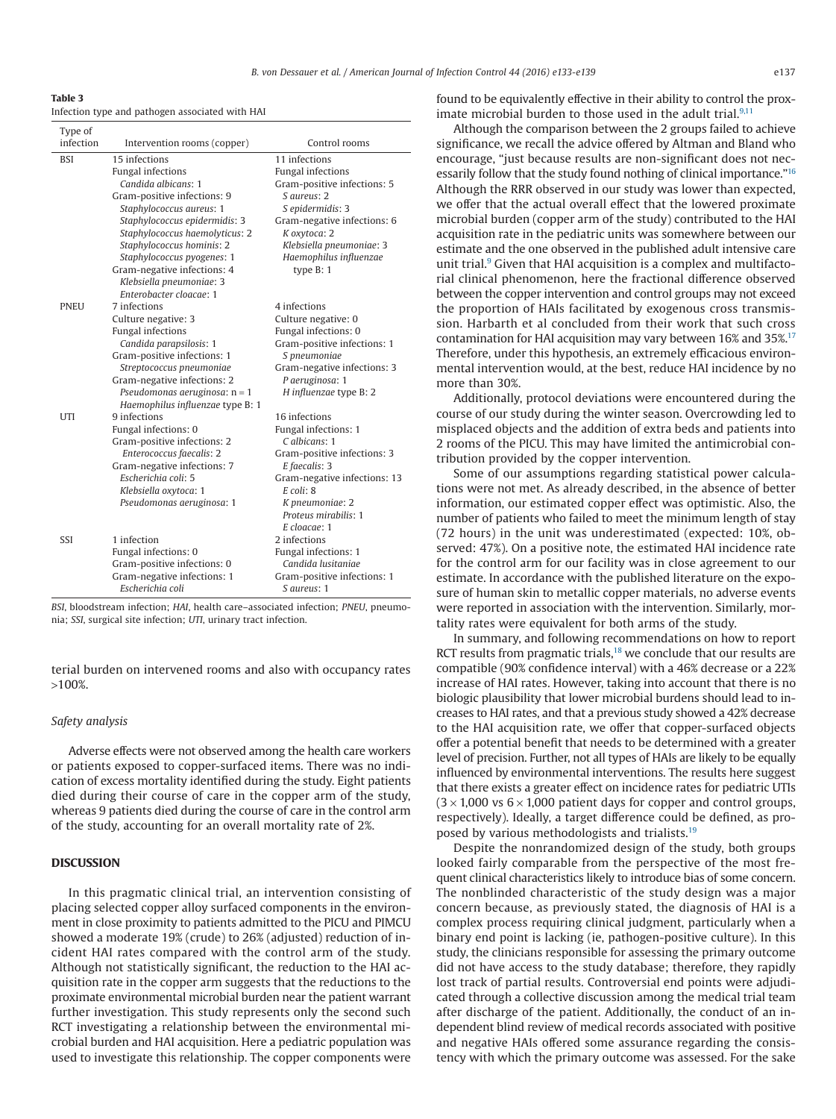<span id="page-4-0"></span>

| ---- | $\sim$ |
|------|--------|
|------|--------|

|  |  |  |  | Infection type and pathogen associated with HAI |  |  |
|--|--|--|--|-------------------------------------------------|--|--|
|--|--|--|--|-------------------------------------------------|--|--|

| Type of    |                                  |                              |
|------------|----------------------------------|------------------------------|
| infection  | Intervention rooms (copper)      | Control rooms                |
| <b>BSI</b> | 15 infections                    | 11 infections                |
|            | <b>Fungal infections</b>         | <b>Fungal infections</b>     |
|            | Candida albicans: 1              | Gram-positive infections: 5  |
|            | Gram-positive infections: 9      | S aureus: 2                  |
|            | Staphylococcus aureus: 1         | S epidermidis: 3             |
|            | Staphylococcus epidermidis: 3    | Gram-negative infections: 6  |
|            | Staphylococcus haemolyticus: 2   | K oxytoca: 2                 |
|            | Staphylococcus hominis: 2        | Klebsiella pneumoniae: 3     |
|            | Staphylococcus pyogenes: 1       | Haemophilus influenzae       |
|            | Gram-negative infections: 4      | type B: 1                    |
|            | Klebsiella pneumoniae: 3         |                              |
|            | Enterobacter cloacae: 1          |                              |
| PNEU       | 7 infections                     | 4 infections                 |
|            | Culture negative: 3              | Culture negative: 0          |
|            | <b>Fungal infections</b>         | Fungal infections: 0         |
|            | Candida parapsilosis: 1          | Gram-positive infections: 1  |
|            | Gram-positive infections: 1      | S pneumoniae                 |
|            | Streptococcus pneumoniae         | Gram-negative infections: 3  |
|            | Gram-negative infections: 2      | P aeruginosa: 1              |
|            | Pseudomonas aeruginosa: $n = 1$  | H influenzae type B: 2       |
|            | Haemophilus influenzae type B: 1 |                              |
| UTI        | 9 infections                     | 16 infections                |
|            | Fungal infections: 0             | Fungal infections: 1         |
|            | Gram-positive infections: 2      | C albicans: 1                |
|            | Enterococcus faecalis: 2         | Gram-positive infections: 3  |
|            | Gram-negative infections: 7      | E faecalis: 3                |
|            | Escherichia coli: 5              | Gram-negative infections: 13 |
|            | Klebsiella oxytoca: 1            | E coli: 8                    |
|            | Pseudomonas aeruginosa: 1        | K pneumoniae: 2              |
|            |                                  | Proteus mirabilis: 1         |
|            |                                  | E cloacae: 1                 |
| SSI        | 1 infection                      | 2 infections                 |
|            | Fungal infections: 0             | Fungal infections: 1         |
|            | Gram-positive infections: 0      | Candida lusitaniae           |
|            | Gram-negative infections: 1      | Gram-positive infections: 1  |
|            | Escherichia coli                 | S aureus: 1                  |

*BSI*, bloodstream infection; *HAI*, health care–associated infection; *PNEU*, pneumonia; *SSI*, surgical site infection; *UTI*, urinary tract infection.

terial burden on intervened rooms and also with occupancy rates >100%.

## *Safety analysis*

Adverse effects were not observed among the health care workers or patients exposed to copper-surfaced items. There was no indication of excess mortality identified during the study. Eight patients died during their course of care in the copper arm of the study, whereas 9 patients died during the course of care in the control arm of the study, accounting for an overall mortality rate of 2%.

# **DISCUSSION**

In this pragmatic clinical trial, an intervention consisting of placing selected copper alloy surfaced components in the environment in close proximity to patients admitted to the PICU and PIMCU showed a moderate 19% (crude) to 26% (adjusted) reduction of incident HAI rates compared with the control arm of the study. Although not statistically significant, the reduction to the HAI acquisition rate in the copper arm suggests that the reductions to the proximate environmental microbial burden near the patient warrant further investigation. This study represents only the second such RCT investigating a relationship between the environmental microbial burden and HAI acquisition. Here a pediatric population was used to investigate this relationship. The copper components were found to be equivalently effective in their ability to control the proximate microbial burden to those used in the adult trial. $9,11$ 

Although the comparison between the 2 groups failed to achieve significance, we recall the advice offered by Altman and Bland who encourage, "just because results are non-significant does not necessarily follow that the study found nothing of clinical importance.["16](#page-6-5) Although the RRR observed in our study was lower than expected, we offer that the actual overall effect that the lowered proximate microbial burden (copper arm of the study) contributed to the HAI acquisition rate in the pediatric units was somewhere between our estimate and the one observed in the published adult intensive care unit trial. $9$  Given that HAI acquisition is a complex and multifactorial clinical phenomenon, here the fractional difference observed between the copper intervention and control groups may not exceed the proportion of HAIs facilitated by exogenous cross transmission. Harbarth et al concluded from their work that such cross contamination for HAI acquisition may vary between 16% and 35%[.17](#page-6-6) Therefore, under this hypothesis, an extremely efficacious environmental intervention would, at the best, reduce HAI incidence by no more than 30%.

Additionally, protocol deviations were encountered during the course of our study during the winter season. Overcrowding led to misplaced objects and the addition of extra beds and patients into 2 rooms of the PICU. This may have limited the antimicrobial contribution provided by the copper intervention.

Some of our assumptions regarding statistical power calculations were not met. As already described, in the absence of better information, our estimated copper effect was optimistic. Also, the number of patients who failed to meet the minimum length of stay (72 hours) in the unit was underestimated (expected: 10%, observed: 47%). On a positive note, the estimated HAI incidence rate for the control arm for our facility was in close agreement to our estimate. In accordance with the published literature on the exposure of human skin to metallic copper materials, no adverse events were reported in association with the intervention. Similarly, mortality rates were equivalent for both arms of the study.

In summary, and following recommendations on how to report RCT results from pragmatic trials, $18$  we conclude that our results are compatible (90% confidence interval) with a 46% decrease or a 22% increase of HAI rates. However, taking into account that there is no biologic plausibility that lower microbial burdens should lead to increases to HAI rates, and that a previous study showed a 42% decrease to the HAI acquisition rate, we offer that copper-surfaced objects offer a potential benefit that needs to be determined with a greater level of precision. Further, not all types of HAIs are likely to be equally influenced by environmental interventions. The results here suggest that there exists a greater effect on incidence rates for pediatric UTIs  $(3 \times 1,000 \text{ vs } 6 \times 1,000 \text{ patient days for copper and control groups},$ respectively). Ideally, a target difference could be defined, as proposed by various methodologists and trialists[.19](#page-6-8)

Despite the nonrandomized design of the study, both groups looked fairly comparable from the perspective of the most frequent clinical characteristics likely to introduce bias of some concern. The nonblinded characteristic of the study design was a major concern because, as previously stated, the diagnosis of HAI is a complex process requiring clinical judgment, particularly when a binary end point is lacking (ie, pathogen-positive culture). In this study, the clinicians responsible for assessing the primary outcome did not have access to the study database; therefore, they rapidly lost track of partial results. Controversial end points were adjudicated through a collective discussion among the medical trial team after discharge of the patient. Additionally, the conduct of an independent blind review of medical records associated with positive and negative HAIs offered some assurance regarding the consistency with which the primary outcome was assessed. For the sake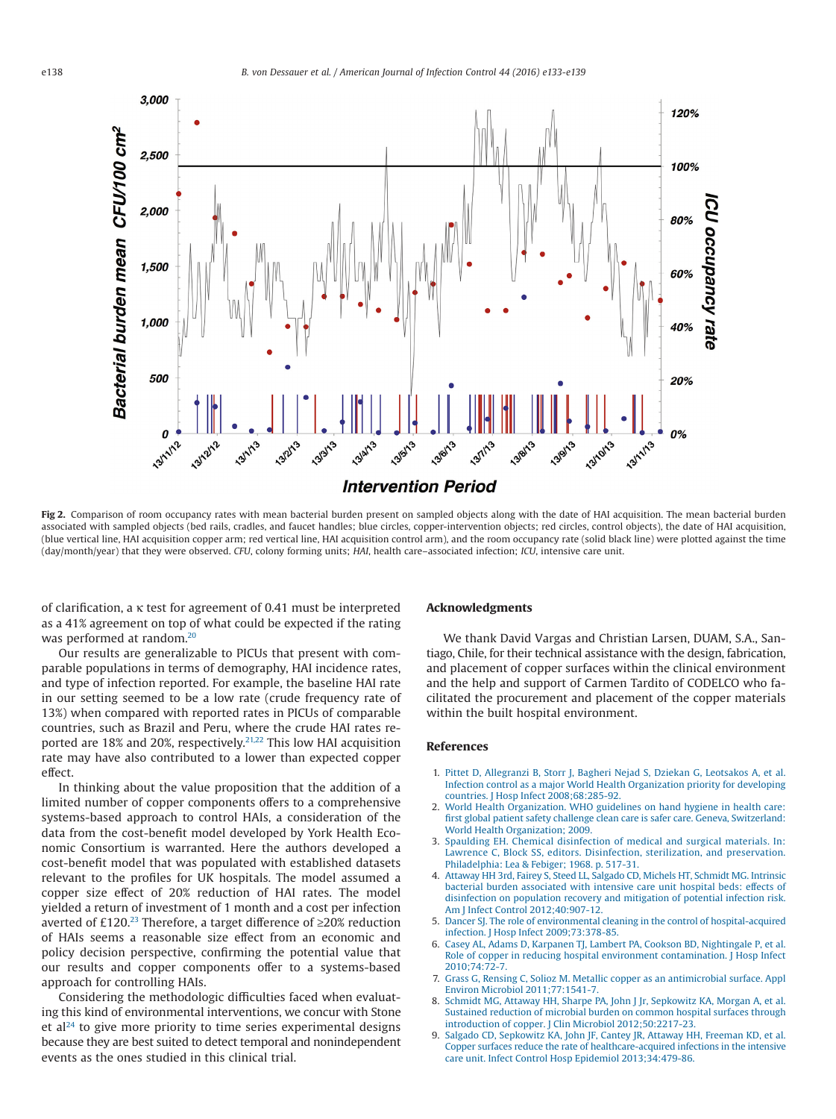<span id="page-5-6"></span>

**Fig 2.** Comparison of room occupancy rates with mean bacterial burden present on sampled objects along with the date of HAI acquisition. The mean bacterial burden associated with sampled objects (bed rails, cradles, and faucet handles; blue circles, copper-intervention objects; red circles, control objects), the date of HAI acquisition, (blue vertical line, HAI acquisition copper arm; red vertical line, HAI acquisition control arm), and the room occupancy rate (solid black line) were plotted against the time (day/month/year) that they were observed. *CFU*, colony forming units; *HAI*, health care–associated infection; *ICU*, intensive care unit.

of clarification, a κ test for agreement of 0.41 must be interpreted as a 41% agreement on top of what could be expected if the rating was performed at random[.20](#page-6-9)

Our results are generalizable to PICUs that present with comparable populations in terms of demography, HAI incidence rates, and type of infection reported. For example, the baseline HAI rate in our setting seemed to be a low rate (crude frequency rate of 13%) when compared with reported rates in PICUs of comparable countries, such as Brazil and Peru, where the crude HAI rates reported are 18% and 20%, respectively.<sup>21,22</sup> This low HAI acquisition rate may have also contributed to a lower than expected copper effect.

In thinking about the value proposition that the addition of a limited number of copper components offers to a comprehensive systems-based approach to control HAIs, a consideration of the data from the cost-benefit model developed by York Health Economic Consortium is warranted. Here the authors developed a cost-benefit model that was populated with established datasets relevant to the profiles for UK hospitals. The model assumed a copper size effect of 20% reduction of HAI rates. The model yielded a return of investment of 1 month and a cost per infection averted of £120[.23](#page-6-11) Therefore, a target difference of ≥20% reduction of HAIs seems a reasonable size effect from an economic and policy decision perspective, confirming the potential value that our results and copper components offer to a systems-based approach for controlling HAIs.

Considering the methodologic difficulties faced when evaluating this kind of environmental interventions, we concur with Stone et al $24$  to give more priority to time series experimental designs because they are best suited to detect temporal and nonindependent events as the ones studied in this clinical trial.

#### **Acknowledgments**

We thank David Vargas and Christian Larsen, DUAM, S.A., Santiago, Chile, for their technical assistance with the design, fabrication, and placement of copper surfaces within the clinical environment and the help and support of Carmen Tardito of CODELCO who facilitated the procurement and placement of the copper materials within the built hospital environment.

#### **References**

- <span id="page-5-0"></span>1. [Pittet D, Allegranzi B, Storr J, Bagheri Nejad S, Dziekan G, Leotsakos A, et al.](http://refhub.elsevier.com/S0196-6553(16)30338-8/sr0010) [Infection control as a major World Health Organization priority for developing](http://refhub.elsevier.com/S0196-6553(16)30338-8/sr0010) [countries. J Hosp Infect 2008;68:285-92.](http://refhub.elsevier.com/S0196-6553(16)30338-8/sr0010)
- <span id="page-5-1"></span>2. [World Health Organization. WHO guidelines on hand hygiene in health care:](http://refhub.elsevier.com/S0196-6553(16)30338-8/sr0015) [first global patient safety challenge clean care is safer care. Geneva, Switzerland:](http://refhub.elsevier.com/S0196-6553(16)30338-8/sr0015) [World Health Organization; 2009.](http://refhub.elsevier.com/S0196-6553(16)30338-8/sr0015)
- <span id="page-5-2"></span>3. [Spaulding EH. Chemical disinfection of medical and surgical materials. In:](http://refhub.elsevier.com/S0196-6553(16)30338-8/sr9000) [Lawrence C, Block SS, editors. Disinfection, sterilization, and preservation.](http://refhub.elsevier.com/S0196-6553(16)30338-8/sr9000) [Philadelphia: Lea & Febiger; 1968. p. 517-31.](http://refhub.elsevier.com/S0196-6553(16)30338-8/sr9000)
- <span id="page-5-3"></span>4. [Attaway HH 3rd, Fairey S, Steed LL, Salgado CD, Michels HT, Schmidt MG. Intrinsic](http://refhub.elsevier.com/S0196-6553(16)30338-8/sr0020) [bacterial burden associated with intensive care unit hospital beds: effects of](http://refhub.elsevier.com/S0196-6553(16)30338-8/sr0020) [disinfection on population recovery and mitigation of potential infection risk.](http://refhub.elsevier.com/S0196-6553(16)30338-8/sr0020) [Am J Infect Control 2012;40:907-12.](http://refhub.elsevier.com/S0196-6553(16)30338-8/sr0020)
- 5. [Dancer SJ. The role of environmental cleaning in the control of hospital-acquired](http://refhub.elsevier.com/S0196-6553(16)30338-8/sr0025) [infection. J Hosp Infect 2009;73:378-85.](http://refhub.elsevier.com/S0196-6553(16)30338-8/sr0025)
- <span id="page-5-4"></span>6. [Casey AL, Adams D, Karpanen TJ, Lambert PA, Cookson BD, Nightingale P, et al.](http://refhub.elsevier.com/S0196-6553(16)30338-8/sr0030) [Role of copper in reducing hospital environment contamination. J Hosp Infect](http://refhub.elsevier.com/S0196-6553(16)30338-8/sr0030) [2010;74:72-7.](http://refhub.elsevier.com/S0196-6553(16)30338-8/sr0030)
- 7. [Grass G, Rensing C, Solioz M. Metallic copper as an antimicrobial surface. Appl](http://refhub.elsevier.com/S0196-6553(16)30338-8/sr0035) [Environ Microbiol 2011;77:1541-7.](http://refhub.elsevier.com/S0196-6553(16)30338-8/sr0035)
- 8. [Schmidt MG, Attaway HH, Sharpe PA, John J Jr, Sepkowitz KA, Morgan A, et al.](http://refhub.elsevier.com/S0196-6553(16)30338-8/sr0040) [Sustained reduction of microbial burden on common hospital surfaces through](http://refhub.elsevier.com/S0196-6553(16)30338-8/sr0040) [introduction of copper. J Clin Microbiol 2012;50:2217-23.](http://refhub.elsevier.com/S0196-6553(16)30338-8/sr0040)
- <span id="page-5-5"></span>9. [Salgado CD, Sepkowitz KA, John JF, Cantey JR, Attaway HH, Freeman KD, et al.](http://refhub.elsevier.com/S0196-6553(16)30338-8/sr0045) [Copper surfaces reduce the rate of healthcare-acquired infections in the intensive](http://refhub.elsevier.com/S0196-6553(16)30338-8/sr0045) [care unit. Infect Control Hosp Epidemiol 2013;34:479-86.](http://refhub.elsevier.com/S0196-6553(16)30338-8/sr0045)